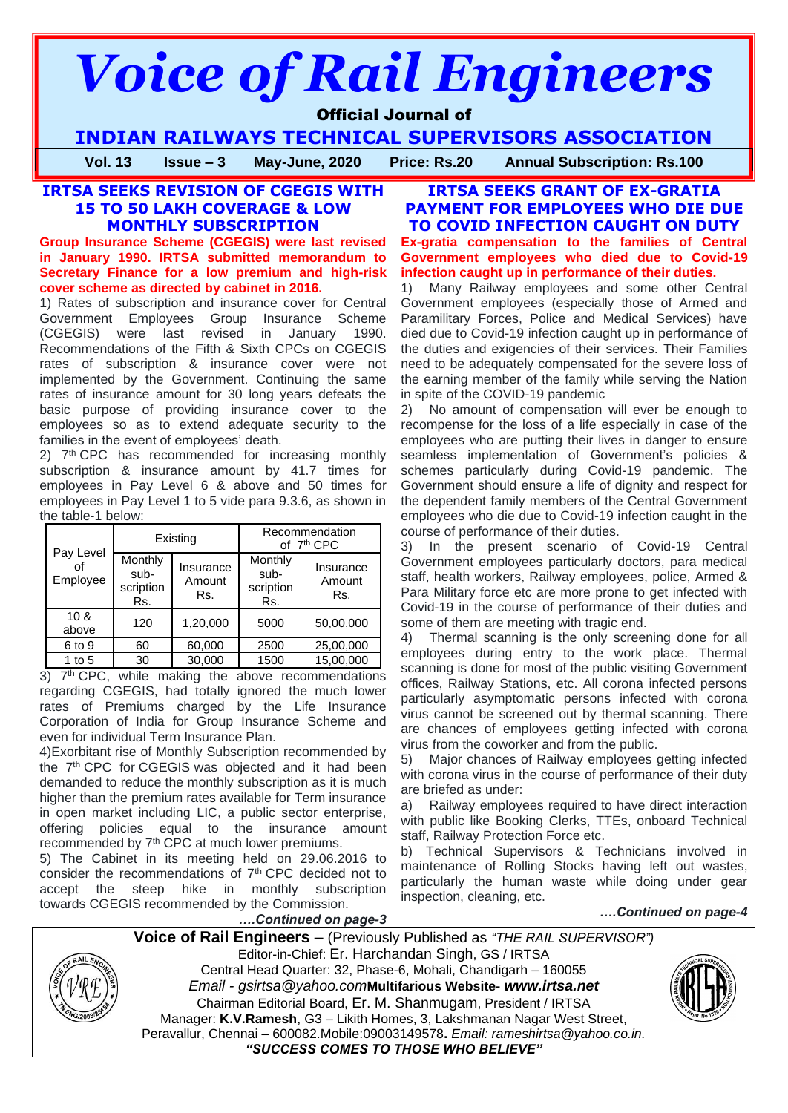# *Voice of Rail Engineers*

# Official Journal of

**INDIAN RAILWAYS TECHNICAL SUPERVISORS ASSOCIATION**

**Vol. 13 Issue – 3 May-June, 2020 Price: Rs.20 Annual Subscription: Rs.100**

# **IRTSA SEEKS REVISION OF CGEGIS WITH 15 TO 50 LAKH COVERAGE & LOW MONTHLY SUBSCRIPTION**

**Group Insurance Scheme (CGEGIS) were last revised in January 1990. IRTSA submitted memorandum to Secretary Finance for a low premium and high-risk cover scheme as directed by cabinet in 2016.**

1) Rates of subscription and insurance cover for Central Government Employees Group Insurance Scheme (CGEGIS) were last revised in January 1990. Recommendations of the Fifth & Sixth CPCs on CGEGIS rates of subscription & insurance cover were not implemented by the Government. Continuing the same rates of insurance amount for 30 long years defeats the basic purpose of providing insurance cover to the employees so as to extend adequate security to the families in the event of employees' death.

2) 7<sup>th</sup> CPC has recommended for increasing monthly subscription & insurance amount by 41.7 times for employees in Pay Level 6 & above and 50 times for employees in Pay Level 1 to 5 vide para 9.3.6, as shown in the table-1 below:

|                       |                                     | Existing                   | Recommendation<br>of 7 <sup>th</sup> CPC |                            |
|-----------------------|-------------------------------------|----------------------------|------------------------------------------|----------------------------|
| Pay Level<br>Employee | Monthly<br>sub-<br>scription<br>Rs. | Insurance<br>Amount<br>Rs. | Monthly<br>sub-<br>scription<br>Rs.      | Insurance<br>Amount<br>Rs. |
| 10 &<br>above         | 120                                 | 1,20,000                   | 5000                                     | 50,00,000                  |
| 6 to 9                | 60                                  | 60,000                     | 2500                                     | 25,00,000                  |
| 1 to $5$              | 30                                  | 30,000                     | 1500                                     | 15,00,000                  |

3) 7<sup>th</sup> CPC, while making the above recommendations regarding CGEGIS, had totally ignored the much lower rates of Premiums charged by the Life Insurance Corporation of India for Group Insurance Scheme and even for individual Term Insurance Plan.

4)Exorbitant rise of Monthly Subscription recommended by the 7th CPC for CGEGIS was objected and it had been demanded to reduce the monthly subscription as it is much higher than the premium rates available for Term insurance in open market including LIC, a public sector enterprise, offering policies equal to the insurance amount recommended by 7th CPC at much lower premiums.

5) The Cabinet in its meeting held on 29.06.2016 to consider the recommendations of  $7<sup>th</sup>$  CPC decided not to accept the steep hike in monthly subscription towards CGEGIS recommended by the Commission.

### **IRTSA SEEKS GRANT OF EX-GRATIA PAYMENT FOR EMPLOYEES WHO DIE DUE TO COVID INFECTION CAUGHT ON DUTY Ex-gratia compensation to the families of Central Government employees who died due to Covid-19 infection caught up in performance of their duties.**

1) Many Railway employees and some other Central Government employees (especially those of Armed and Paramilitary Forces, Police and Medical Services) have died due to Covid-19 infection caught up in performance of the duties and exigencies of their services. Their Families need to be adequately compensated for the severe loss of the earning member of the family while serving the Nation in spite of the COVID-19 pandemic

2) No amount of compensation will ever be enough to recompense for the loss of a life especially in case of the employees who are putting their lives in danger to ensure seamless implementation of Government's policies & schemes particularly during Covid-19 pandemic. The Government should ensure a life of dignity and respect for the dependent family members of the Central Government employees who die due to Covid-19 infection caught in the course of performance of their duties.

3) In the present scenario of Covid-19 Central Government employees particularly doctors, para medical staff, health workers, Railway employees, police, Armed & Para Military force etc are more prone to get infected with Covid-19 in the course of performance of their duties and some of them are meeting with tragic end.

4) Thermal scanning is the only screening done for all employees during entry to the work place. Thermal scanning is done for most of the public visiting Government offices, Railway Stations, etc. All corona infected persons particularly asymptomatic persons infected with corona virus cannot be screened out by thermal scanning. There are chances of employees getting infected with corona virus from the coworker and from the public.

5) Major chances of Railway employees getting infected with corona virus in the course of performance of their duty are briefed as under:

a) Railway employees required to have direct interaction with public like Booking Clerks, TTEs, onboard Technical staff, Railway Protection Force etc.

b) Technical Supervisors & Technicians involved in maintenance of Rolling Stocks having left out wastes, particularly the human waste while doing under gear inspection, cleaning, etc.

*….Continued on page-4*

**Voice of Rail Engineers** – (Previously Published as *"THE RAIL SUPERVISOR")* Editor-in-Chief: Er. Harchandan Singh, GS / IRTSA Central Head Quarter: 32, Phase-6, Mohali, Chandigarh – 160055 *Email - gsirtsa@yahoo.com***Multifarious Website-** *[www.irtsa.net](http://www.irtsa.net/)* Chairman Editorial Board, Er. M. Shanmugam, President / IRTSA Manager: **K.V.Ramesh**, G3 – Likith Homes, 3, Lakshmanan Nagar West Street, Peravallur, Chennai – 600082.Mobile:09003149578**.** *Email: [rameshirtsa@yahoo.co.in.](mailto:rameshirtsa@yahoo.co.in) "SUCCESS COMES TO THOSE WHO BELIEVE"*

*….Continued on page-3*

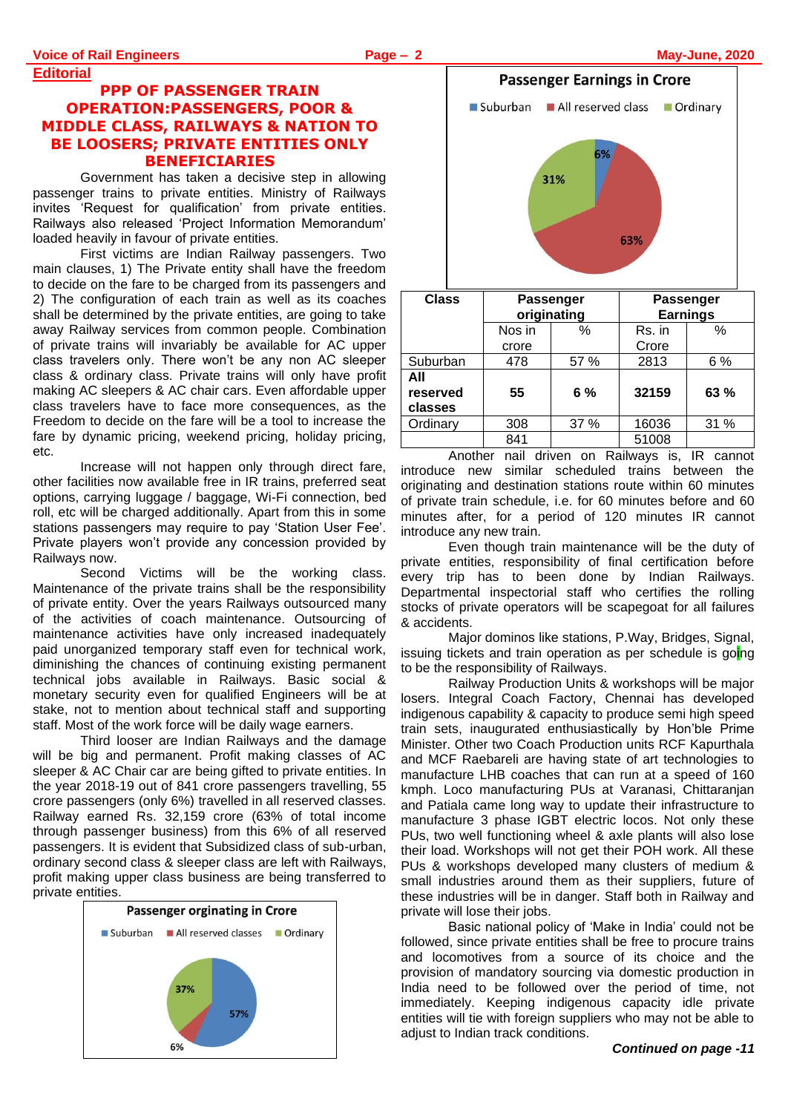**Editorial**

# **PPP OF PASSENGER TRAIN OPERATION:PASSENGERS, POOR & MIDDLE CLASS, RAILWAYS & NATION TO BE LOOSERS; PRIVATE ENTITIES ONLY BENEFICIARIES**

Government has taken a decisive step in allowing passenger trains to private entities. Ministry of Railways invites 'Request for qualification' from private entities. Railways also released 'Project Information Memorandum' loaded heavily in favour of private entities.

First victims are Indian Railway passengers. Two main clauses, 1) The Private entity shall have the freedom to decide on the fare to be charged from its passengers and 2) The configuration of each train as well as its coaches shall be determined by the private entities, are going to take away Railway services from common people. Combination of private trains will invariably be available for AC upper class travelers only. There won't be any non AC sleeper class & ordinary class. Private trains will only have profit making AC sleepers & AC chair cars. Even affordable upper class travelers have to face more consequences, as the Freedom to decide on the fare will be a tool to increase the fare by dynamic pricing, weekend pricing, holiday pricing, etc.

Increase will not happen only through direct fare, other facilities now available free in IR trains, preferred seat options, carrying luggage / baggage, Wi-Fi connection, bed roll, etc will be charged additionally. Apart from this in some stations passengers may require to pay 'Station User Fee'. Private players won't provide any concession provided by Railways now.

Second Victims will be the working class. Maintenance of the private trains shall be the responsibility of private entity. Over the years Railways outsourced many of the activities of coach maintenance. Outsourcing of maintenance activities have only increased inadequately paid unorganized temporary staff even for technical work, diminishing the chances of continuing existing permanent technical jobs available in Railways. Basic social & monetary security even for qualified Engineers will be at stake, not to mention about technical staff and supporting staff. Most of the work force will be daily wage earners.

Third looser are Indian Railways and the damage will be big and permanent. Profit making classes of AC sleeper & AC Chair car are being gifted to private entities. In the year 2018-19 out of 841 crore passengers travelling, 55 crore passengers (only 6%) travelled in all reserved classes. Railway earned Rs. 32,159 crore (63% of total income through passenger business) from this 6% of all reserved passengers. It is evident that Subsidized class of sub-urban, ordinary second class & sleeper class are left with Railways, profit making upper class business are being transferred to private entities.





| <b>Class</b>               | Passenger<br>originating |      | Passenger<br><b>Earnings</b> |      |
|----------------------------|--------------------------|------|------------------------------|------|
|                            | Nos in                   | %    | Rs. in                       | $\%$ |
|                            | crore                    |      | Crore                        |      |
| Suburban                   | 478                      | 57 % | 2813                         | 6%   |
| All<br>reserved<br>classes | 55                       | 6%   | 32159                        | 63 % |
| Ordinary                   | 308                      | 37 % | 16036                        | 31 % |
|                            | 841                      |      | 51008                        |      |

Another nail driven on Railways is, IR cannot introduce new similar scheduled trains between the originating and destination stations route within 60 minutes of private train schedule, i.e. for 60 minutes before and 60 minutes after, for a period of 120 minutes IR cannot introduce any new train.

Even though train maintenance will be the duty of private entities, responsibility of final certification before every trip has to been done by Indian Railways. Departmental inspectorial staff who certifies the rolling stocks of private operators will be scapegoat for all failures & accidents.

Major dominos like stations, P.Way, Bridges, Signal, issuing tickets and train operation as per schedule is going to be the responsibility of Railways.

Railway Production Units & workshops will be major losers. Integral Coach Factory, Chennai has developed indigenous capability & capacity to produce semi high speed train sets, inaugurated enthusiastically by Hon'ble Prime Minister. Other two Coach Production units RCF Kapurthala and MCF Raebareli are having state of art technologies to manufacture LHB coaches that can run at a speed of 160 kmph. Loco manufacturing PUs at Varanasi, Chittaranjan and Patiala came long way to update their infrastructure to manufacture 3 phase IGBT electric locos. Not only these PUs, two well functioning wheel & axle plants will also lose their load. Workshops will not get their POH work. All these PUs & workshops developed many clusters of medium & small industries around them as their suppliers, future of these industries will be in danger. Staff both in Railway and private will lose their jobs.

Basic national policy of 'Make in India' could not be followed, since private entities shall be free to procure trains and locomotives from a source of its choice and the provision of mandatory sourcing via domestic production in India need to be followed over the period of time, not immediately. Keeping indigenous capacity idle private entities will tie with foreign suppliers who may not be able to adjust to Indian track conditions.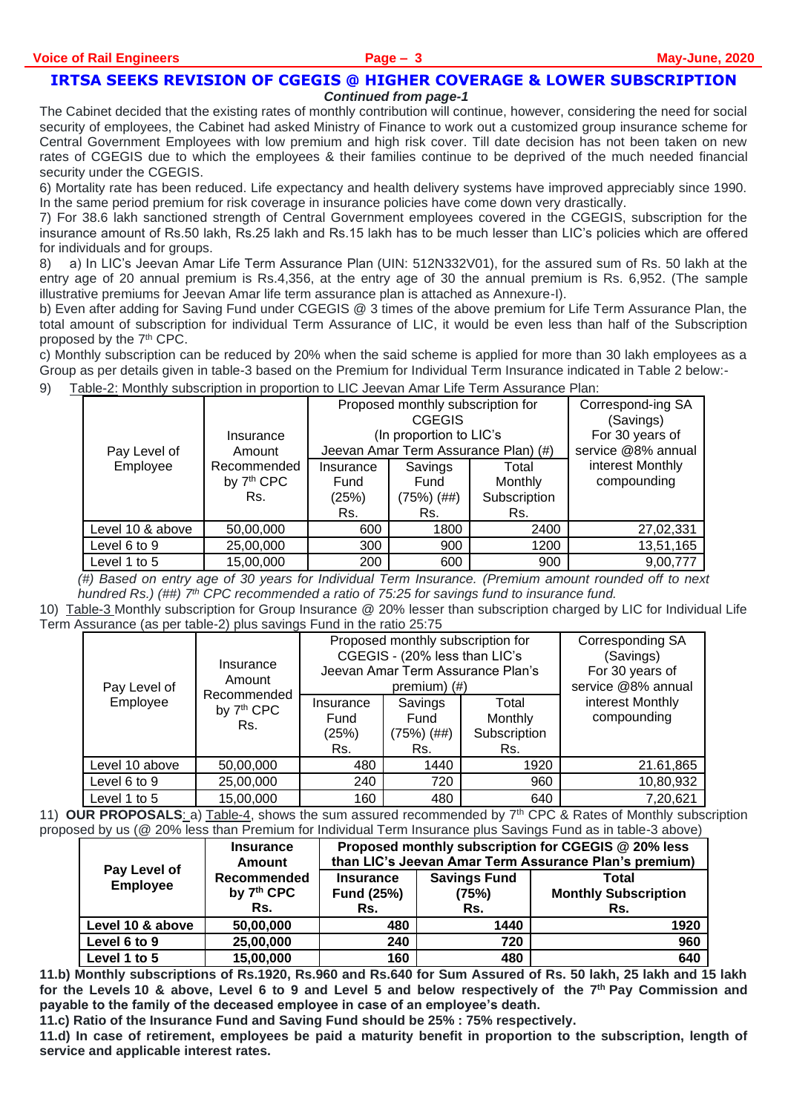#### **IRTSA SEEKS REVISION OF CGEGIS @ HIGHER COVERAGE & LOWER SUBSCRIPTION** *Continued from page-1*

The Cabinet decided that the existing rates of monthly contribution will continue, however, considering the need for social security of employees, the Cabinet had asked Ministry of Finance to work out a customized group insurance scheme for Central Government Employees with low premium and high risk cover. Till date decision has not been taken on new rates of CGEGIS due to which the employees & their families continue to be deprived of the much needed financial security under the CGEGIS.

6) Mortality rate has been reduced. Life expectancy and health delivery systems have improved appreciably since 1990. In the same period premium for risk coverage in insurance policies have come down very drastically.

7) For 38.6 lakh sanctioned strength of Central Government employees covered in the CGEGIS, subscription for the insurance amount of Rs.50 lakh, Rs.25 lakh and Rs.15 lakh has to be much lesser than LIC's policies which are offered for individuals and for groups.

8) a) In LIC's Jeevan Amar Life Term Assurance Plan (UIN: 512N332V01), for the assured sum of Rs. 50 lakh at the entry age of 20 annual premium is Rs.4,356, at the entry age of 30 the annual premium is Rs. 6,952. (The sample illustrative premiums for Jeevan Amar life term assurance plan is attached as Annexure-I).

b) Even after adding for Saving Fund under CGEGIS @ 3 times of the above premium for Life Term Assurance Plan, the total amount of subscription for individual Term Assurance of LIC, it would be even less than half of the Subscription proposed by the 7<sup>th</sup> CPC.

c) Monthly subscription can be reduced by 20% when the said scheme is applied for more than 30 lakh employees as a Group as per details given in table-3 based on the Premium for Individual Term Insurance indicated in Table 2 below:-

9) Table-2: Monthly subscription in proportion to LIC Jeevan Amar Life Term Assurance Plan:

| Insurance<br>Pay Level of<br>Amount |                                              | Proposed monthly subscription for<br><b>CGEGIS</b><br>(In proportion to LIC's<br>Jeevan Amar Term Assurance Plan) (#) |                   |                                 | Correspond-ing SA<br>(Savings)<br>For 30 years of<br>service @8% annual |
|-------------------------------------|----------------------------------------------|-----------------------------------------------------------------------------------------------------------------------|-------------------|---------------------------------|-------------------------------------------------------------------------|
| Employee                            | Recommended<br>by 7 <sup>th</sup> CPC<br>Rs. | Savings<br>Insurance<br>Total<br>Monthly<br>Fund<br>Fund                                                              |                   | interest Monthly<br>compounding |                                                                         |
|                                     |                                              | (25%)<br>Rs.                                                                                                          | (75%) (##)<br>Rs. | Subscription<br>Rs.             |                                                                         |
| Level 10 & above                    | 50,00,000                                    | 600                                                                                                                   | 1800              | 2400                            | 27,02,331                                                               |
| Level 6 to 9                        | 25,00,000                                    | 300                                                                                                                   | 900               | 1200                            | 13,51,165                                                               |
| Level 1 to 5                        | 15,00,000                                    | 200                                                                                                                   | 600               | 900                             | 9,00,777                                                                |

*(#) Based on entry age of 30 years for Individual Term Insurance. (Premium amount rounded off to next hundred Rs.) (##) 7th CPC recommended a ratio of 75:25 for savings fund to insurance fund.*

10) Table-3 Monthly subscription for Group Insurance @ 20% lesser than subscription charged by LIC for Individual Life Term Assurance (as per table-2) plus savings Fund in the ratio 25:75

| Pay Level of   | Insurance<br>Amount                          | Proposed monthly subscription for<br>CGEGIS - (20% less than LIC's<br>Jeevan Amar Term Assurance Plan's<br>premium $($ #) |                                      |                                         | <b>Corresponding SA</b><br>(Savings)<br>For 30 years of<br>service @8% annual |
|----------------|----------------------------------------------|---------------------------------------------------------------------------------------------------------------------------|--------------------------------------|-----------------------------------------|-------------------------------------------------------------------------------|
| Employee       | Recommended<br>by 7 <sup>th</sup> CPC<br>Rs. | Insurance<br>Fund<br>(25%)<br>Rs.                                                                                         | Savings<br>Fund<br>(75%) (##)<br>Rs. | Total<br>Monthly<br>Subscription<br>Rs. | interest Monthly<br>compounding                                               |
| Level 10 above | 50,00,000                                    | 480                                                                                                                       | 1440                                 | 1920                                    | 21.61,865                                                                     |
| Level 6 to 9   | 25,00,000                                    | 240                                                                                                                       | 720                                  | 960                                     | 10,80,932                                                                     |
| Level 1 to 5   | 15,00,000                                    | 160                                                                                                                       | 480                                  | 640                                     | 7,20,621                                                                      |

11) **OUR PROPOSALS**: a) Table-4, shows the sum assured recommended by 7th CPC & Rates of Monthly subscription proposed by us (@ 20% less than Premium for Individual Term Insurance plus Savings Fund as in table-3 above)

|                                 | <b>Insurance</b><br>Amount                   | Proposed monthly subscription for CGEGIS @ 20% less<br>than LIC's Jeevan Amar Term Assurance Plan's premium) |                                                                                    |      |  |  |
|---------------------------------|----------------------------------------------|--------------------------------------------------------------------------------------------------------------|------------------------------------------------------------------------------------|------|--|--|
| Pay Level of<br><b>Employee</b> | Recommended<br>by 7 <sup>th</sup> CPC<br>Rs. | <b>Insurance</b><br><b>Fund (25%)</b><br>Rs.                                                                 | <b>Savings Fund</b><br>Total<br><b>Monthly Subscription</b><br>(75%)<br>Rs.<br>Rs. |      |  |  |
|                                 |                                              |                                                                                                              |                                                                                    |      |  |  |
| Level 10 & above                | 50,00,000                                    | 480                                                                                                          | 1440                                                                               | 1920 |  |  |
| Level 6 to 9                    | 25,00,000                                    | 240                                                                                                          | 720                                                                                | 960  |  |  |
| Level 1 to 5                    | 15,00,000                                    | 160                                                                                                          | 480                                                                                | 640  |  |  |

**11.b) Monthly subscriptions of Rs.1920, Rs.960 and Rs.640 for Sum Assured of Rs. 50 lakh, 25 lakh and 15 lakh for the Levels 10 & above, Level 6 to 9 and Level 5 and below respectively of the 7th Pay Commission and payable to the family of the deceased employee in case of an employee's death.**

**11.c) Ratio of the Insurance Fund and Saving Fund should be 25% : 75% respectively.**

**11.d) In case of retirement, employees be paid a maturity benefit in proportion to the subscription, length of service and applicable interest rates.**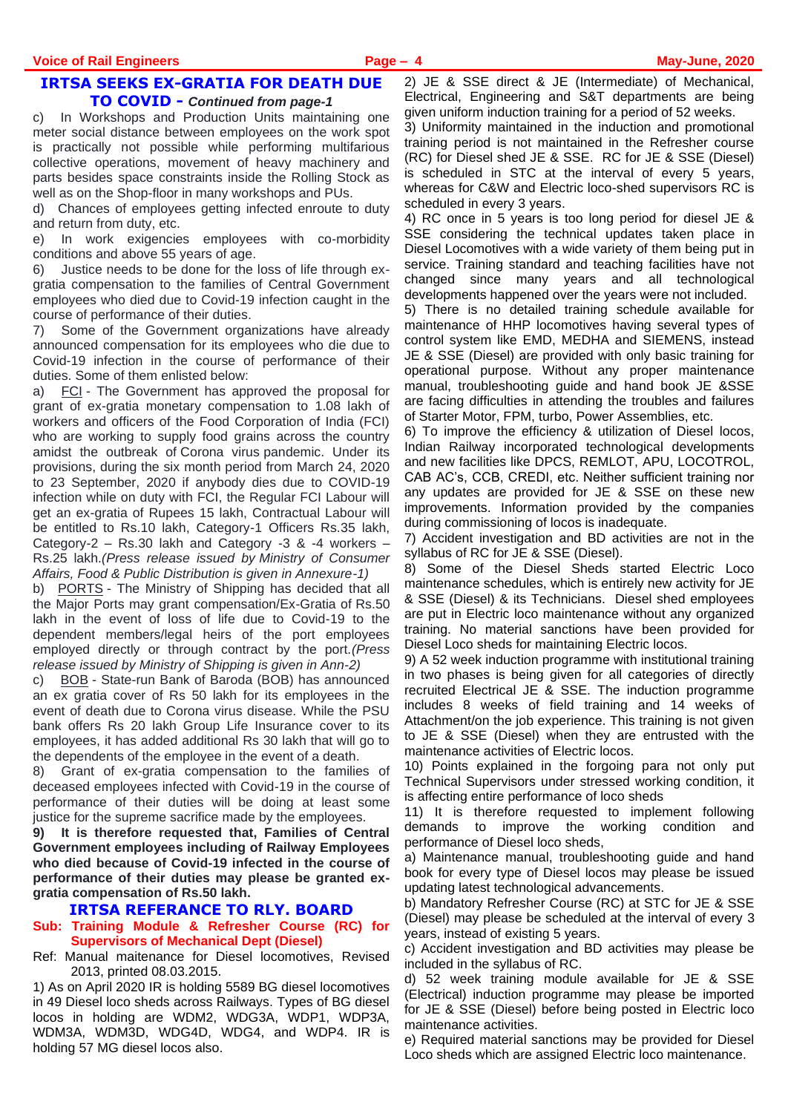#### **IRTSA SEEKS EX-GRATIA FOR DEATH DUE TO COVID -** *Continued from page-1*

c) In Workshops and Production Units maintaining one meter social distance between employees on the work spot is practically not possible while performing multifarious collective operations, movement of heavy machinery and parts besides space constraints inside the Rolling Stock as well as on the Shop-floor in many workshops and PUs.

d) Chances of employees getting infected enroute to duty and return from duty, etc.

e) In work exigencies employees with co-morbidity conditions and above 55 years of age.

6) Justice needs to be done for the loss of life through exgratia compensation to the families of Central Government employees who died due to Covid-19 infection caught in the course of performance of their duties.

7) Some of the Government organizations have already announced compensation for its employees who die due to Covid-19 infection in the course of performance of their duties. Some of them enlisted below:

a) FCI - The Government has approved the proposal for grant of ex-gratia monetary compensation to 1.08 lakh of workers and officers of the Food Corporation of India (FCI) who are working to supply food grains across the country amidst the outbreak of Corona virus pandemic. Under its provisions, during the six month period from March 24, 2020 to 23 September, 2020 if anybody dies due to COVID-19 infection while on duty with FCI, the Regular FCI Labour will get an ex-gratia of Rupees 15 lakh, Contractual Labour will be entitled to Rs.10 lakh, Category-1 Officers Rs.35 lakh, Category-2 – Rs.30 lakh and Category -3 & -4 workers – Rs.25 lakh.*(Press release issued by Ministry of Consumer Affairs, Food & Public Distribution is given in Annexure-1)*

b) PORTS - The Ministry of Shipping has decided that all the Major Ports may grant compensation/Ex-Gratia of Rs.50 lakh in the event of loss of life due to Covid-19 to the dependent members/legal heirs of the port employees employed directly or through contract by the port.*(Press release issued by Ministry of Shipping is given in Ann-2)*

c) BOB - State-run Bank of Baroda (BOB) has announced an ex gratia cover of Rs 50 lakh for its employees in the event of death due to Corona virus disease. While the PSU bank offers Rs 20 lakh Group Life Insurance cover to its employees, it has added additional Rs 30 lakh that will go to the dependents of the employee in the event of a death.

8) Grant of ex-gratia compensation to the families of deceased employees infected with Covid-19 in the course of performance of their duties will be doing at least some justice for the supreme sacrifice made by the employees.

**9) It is therefore requested that, Families of Central Government employees including of Railway Employees who died because of Covid-19 infected in the course of performance of their duties may please be granted exgratia compensation of Rs.50 lakh.**

#### **IRTSA REFERANCE TO RLY. BOARD**

#### **Sub: Training Module & Refresher Course (RC) for Supervisors of Mechanical Dept (Diesel)**

Ref: Manual maitenance for Diesel locomotives, Revised 2013, printed 08.03.2015.

1) As on April 2020 IR is holding 5589 BG diesel locomotives in 49 Diesel loco sheds across Railways. Types of BG diesel locos in holding are WDM2, WDG3A, WDP1, WDP3A, WDM3A, WDM3D, WDG4D, WDG4, and WDP4. IR is holding 57 MG diesel locos also.

2) JE & SSE direct & JE (Intermediate) of Mechanical, Electrical, Engineering and S&T departments are being given uniform induction training for a period of 52 weeks.

3) Uniformity maintained in the induction and promotional training period is not maintained in the Refresher course (RC) for Diesel shed JE & SSE. RC for JE & SSE (Diesel) is scheduled in STC at the interval of every 5 years, whereas for C&W and Electric loco-shed supervisors RC is scheduled in every 3 years.

4) RC once in 5 years is too long period for diesel JE & SSE considering the technical updates taken place in Diesel Locomotives with a wide variety of them being put in service. Training standard and teaching facilities have not changed since many years and all technological developments happened over the years were not included.

5) There is no detailed training schedule available for maintenance of HHP locomotives having several types of control system like EMD, MEDHA and SIEMENS, instead JE & SSE (Diesel) are provided with only basic training for operational purpose. Without any proper maintenance manual, troubleshooting guide and hand book JE &SSE are facing difficulties in attending the troubles and failures of Starter Motor, FPM, turbo, Power Assemblies, etc.

6) To improve the efficiency & utilization of Diesel locos, Indian Railway incorporated technological developments and new facilities like DPCS, REMLOT, APU, LOCOTROL, CAB AC's, CCB, CREDI, etc. Neither sufficient training nor any updates are provided for JE & SSE on these new improvements. Information provided by the companies during commissioning of locos is inadequate.

7) Accident investigation and BD activities are not in the syllabus of RC for JE & SSE (Diesel).

8) Some of the Diesel Sheds started Electric Loco maintenance schedules, which is entirely new activity for JE & SSE (Diesel) & its Technicians. Diesel shed employees are put in Electric loco maintenance without any organized training. No material sanctions have been provided for Diesel Loco sheds for maintaining Electric locos.

9) A 52 week induction programme with institutional training in two phases is being given for all categories of directly recruited Electrical JE & SSE. The induction programme includes 8 weeks of field training and 14 weeks of Attachment/on the job experience. This training is not given to JE & SSE (Diesel) when they are entrusted with the maintenance activities of Electric locos.

10) Points explained in the forgoing para not only put Technical Supervisors under stressed working condition, it is affecting entire performance of loco sheds

11) It is therefore requested to implement following demands to improve the working condition and performance of Diesel loco sheds,

a) Maintenance manual, troubleshooting guide and hand book for every type of Diesel locos may please be issued updating latest technological advancements.

b) Mandatory Refresher Course (RC) at STC for JE & SSE (Diesel) may please be scheduled at the interval of every 3 years, instead of existing 5 years.

c) Accident investigation and BD activities may please be included in the syllabus of RC.

d) 52 week training module available for JE & SSE (Electrical) induction programme may please be imported for JE & SSE (Diesel) before being posted in Electric loco maintenance activities.

e) Required material sanctions may be provided for Diesel Loco sheds which are assigned Electric loco maintenance.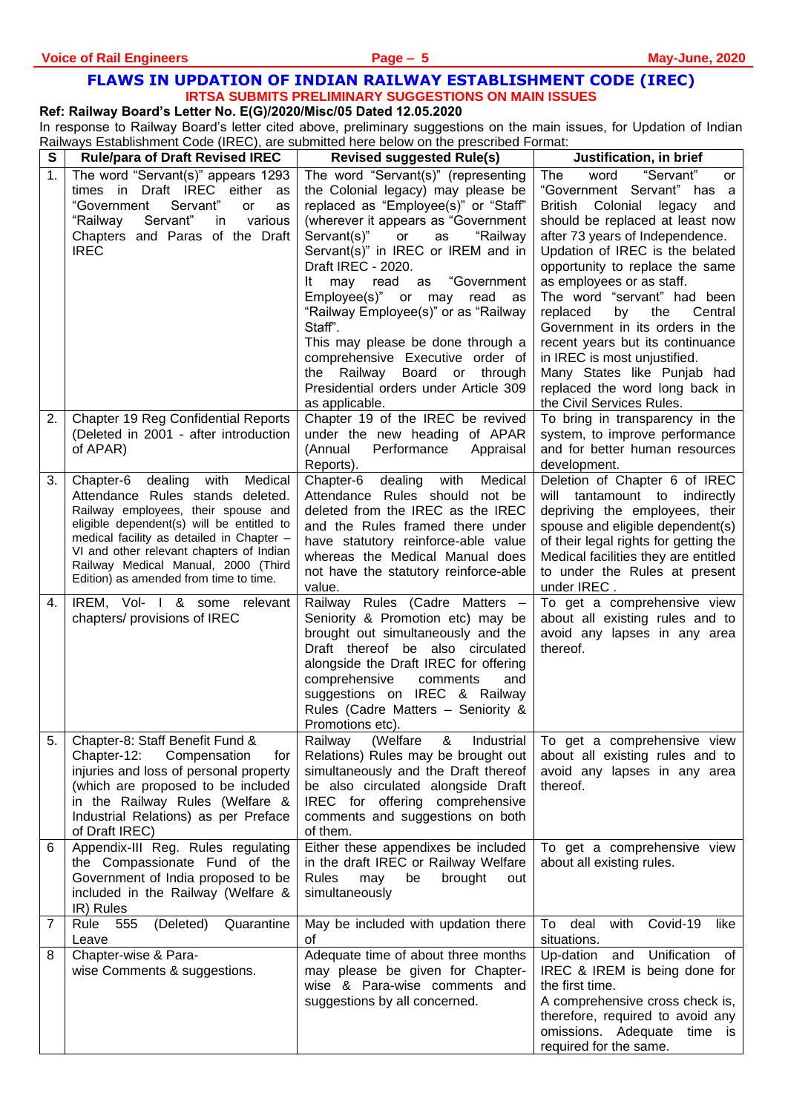# **FLAWS IN UPDATION OF INDIAN RAILWAY ESTABLISHMENT CODE (IREC) IRTSA SUBMITS PRELIMINARY SUGGESTIONS ON MAIN ISSUES**

**Ref: Railway Board's Letter No. E(G)/2020/Misc/05 Dated 12.05.2020** 

In response to Railway Board's letter cited above, preliminary suggestions on the main issues, for Updation of Indian Railways Establishment Code (IREC), are submitted here below on the prescribed Format:

| $\mathbf s$ | <b>Rule/para of Draft Revised IREC</b>                                                                                                                                                                                                                                                                                           | <b>Revised suggested Rule(s)</b>                                                                                                                                                                                                                                                                                                                                                                                                                                                                                                                               | Justification, in brief                                                                                                                                                                                                                                                                                                                                                                                                                                                                                                                               |
|-------------|----------------------------------------------------------------------------------------------------------------------------------------------------------------------------------------------------------------------------------------------------------------------------------------------------------------------------------|----------------------------------------------------------------------------------------------------------------------------------------------------------------------------------------------------------------------------------------------------------------------------------------------------------------------------------------------------------------------------------------------------------------------------------------------------------------------------------------------------------------------------------------------------------------|-------------------------------------------------------------------------------------------------------------------------------------------------------------------------------------------------------------------------------------------------------------------------------------------------------------------------------------------------------------------------------------------------------------------------------------------------------------------------------------------------------------------------------------------------------|
| 1.          | The word "Servant(s)" appears 1293<br>times in Draft IREC either<br>as<br>"Government<br>Servant"<br>or<br>as<br>Servant"<br>various<br>"Railway<br>in<br>Chapters and Paras of the Draft<br><b>IREC</b>                                                                                                                         | The word "Servant(s)" (representing<br>the Colonial legacy) may please be<br>replaced as "Employee(s)" or "Staff"<br>(wherever it appears as "Government<br>Servant(s)"<br>or<br>as<br>"Railway<br>Servant(s)" in IREC or IREM and in<br>Draft IREC - 2020.<br>may read<br>"Government<br>It<br>as<br>Employee(s)" or may read as<br>"Railway Employee(s)" or as "Railway<br>Staff".<br>This may please be done through a<br>comprehensive Executive order of<br>the Railway<br>Board or<br>through<br>Presidential orders under Article 309<br>as applicable. | "Servant"<br>word<br>The<br>or<br>"Government Servant" has a<br>British<br>Colonial<br>legacy<br>and<br>should be replaced at least now<br>after 73 years of Independence.<br>Updation of IREC is the belated<br>opportunity to replace the same<br>as employees or as staff.<br>The word "servant" had been<br>replaced<br>the<br>Central<br>by<br>Government in its orders in the<br>recent years but its continuance<br>in IREC is most unjustified.<br>Many States like Punjab had<br>replaced the word long back in<br>the Civil Services Rules. |
| 2.          | <b>Chapter 19 Reg Confidential Reports</b><br>(Deleted in 2001 - after introduction<br>of APAR)                                                                                                                                                                                                                                  | Chapter 19 of the IREC be revived<br>under the new heading of APAR<br>(Annual<br>Performance<br>Appraisal<br>Reports).                                                                                                                                                                                                                                                                                                                                                                                                                                         | To bring in transparency in the<br>system, to improve performance<br>and for better human resources<br>development.                                                                                                                                                                                                                                                                                                                                                                                                                                   |
| 3.          | Chapter-6 dealing with Medical<br>Attendance Rules stands deleted.<br>Railway employees, their spouse and<br>eligible dependent(s) will be entitled to<br>medical facility as detailed in Chapter -<br>VI and other relevant chapters of Indian<br>Railway Medical Manual, 2000 (Third<br>Edition) as amended from time to time. | Medical<br>Chapter-6 dealing<br>with<br>Attendance Rules should not be<br>deleted from the IREC as the IREC<br>and the Rules framed there under<br>have statutory reinforce-able value<br>whereas the Medical Manual does<br>not have the statutory reinforce-able<br>value.                                                                                                                                                                                                                                                                                   | Deletion of Chapter 6 of IREC<br>will tantamount to indirectly<br>depriving the employees, their<br>spouse and eligible dependent(s)<br>of their legal rights for getting the<br>Medical facilities they are entitled<br>to under the Rules at present<br>under IREC.                                                                                                                                                                                                                                                                                 |
| 4.          | IREM, Vol- I & some relevant<br>chapters/ provisions of IREC                                                                                                                                                                                                                                                                     | Railway Rules (Cadre Matters -<br>Seniority & Promotion etc) may be<br>brought out simultaneously and the<br>Draft thereof be also circulated<br>alongside the Draft IREC for offering<br>comprehensive<br>comments<br>and<br>suggestions on IREC & Railway<br>Rules (Cadre Matters - Seniority &<br>Promotions etc).                                                                                                                                                                                                                                          | To get a comprehensive view<br>about all existing rules and to<br>avoid any lapses in any area<br>thereof.                                                                                                                                                                                                                                                                                                                                                                                                                                            |
| 5.1         | Chapter-8: Staff Benefit Fund &<br>Chapter-12:<br>Compensation<br>for<br>injuries and loss of personal property<br>(which are proposed to be included<br>in the Railway Rules (Welfare &<br>Industrial Relations) as per Preface<br>of Draft IREC)                                                                               | Railway (Welfare & Industrial   To get a comprehensive view<br>Relations) Rules may be brought out<br>simultaneously and the Draft thereof<br>be also circulated alongside Draft<br>IREC for offering comprehensive<br>comments and suggestions on both<br>of them.                                                                                                                                                                                                                                                                                            | about all existing rules and to<br>avoid any lapses in any area<br>thereof.                                                                                                                                                                                                                                                                                                                                                                                                                                                                           |
| 6           | Appendix-III Reg. Rules regulating<br>the Compassionate Fund of the<br>Government of India proposed to be<br>included in the Railway (Welfare &<br>IR) Rules                                                                                                                                                                     | Either these appendixes be included<br>in the draft IREC or Railway Welfare<br>Rules<br>brought<br>may<br>be<br>out<br>simultaneously                                                                                                                                                                                                                                                                                                                                                                                                                          | To get a comprehensive view<br>about all existing rules.                                                                                                                                                                                                                                                                                                                                                                                                                                                                                              |
| 7           | Rule 555<br>(Deleted)<br>Quarantine<br>Leave                                                                                                                                                                                                                                                                                     | May be included with updation there<br>οf                                                                                                                                                                                                                                                                                                                                                                                                                                                                                                                      | Covid-19<br>To<br>deal<br>with<br>like<br>situations.                                                                                                                                                                                                                                                                                                                                                                                                                                                                                                 |
| 8           | Chapter-wise & Para-<br>wise Comments & suggestions.                                                                                                                                                                                                                                                                             | Adequate time of about three months<br>may please be given for Chapter-<br>wise & Para-wise comments and<br>suggestions by all concerned.                                                                                                                                                                                                                                                                                                                                                                                                                      | Up-dation and Unification of<br>IREC & IREM is being done for<br>the first time.<br>A comprehensive cross check is,<br>therefore, required to avoid any<br>omissions. Adequate time is<br>required for the same.                                                                                                                                                                                                                                                                                                                                      |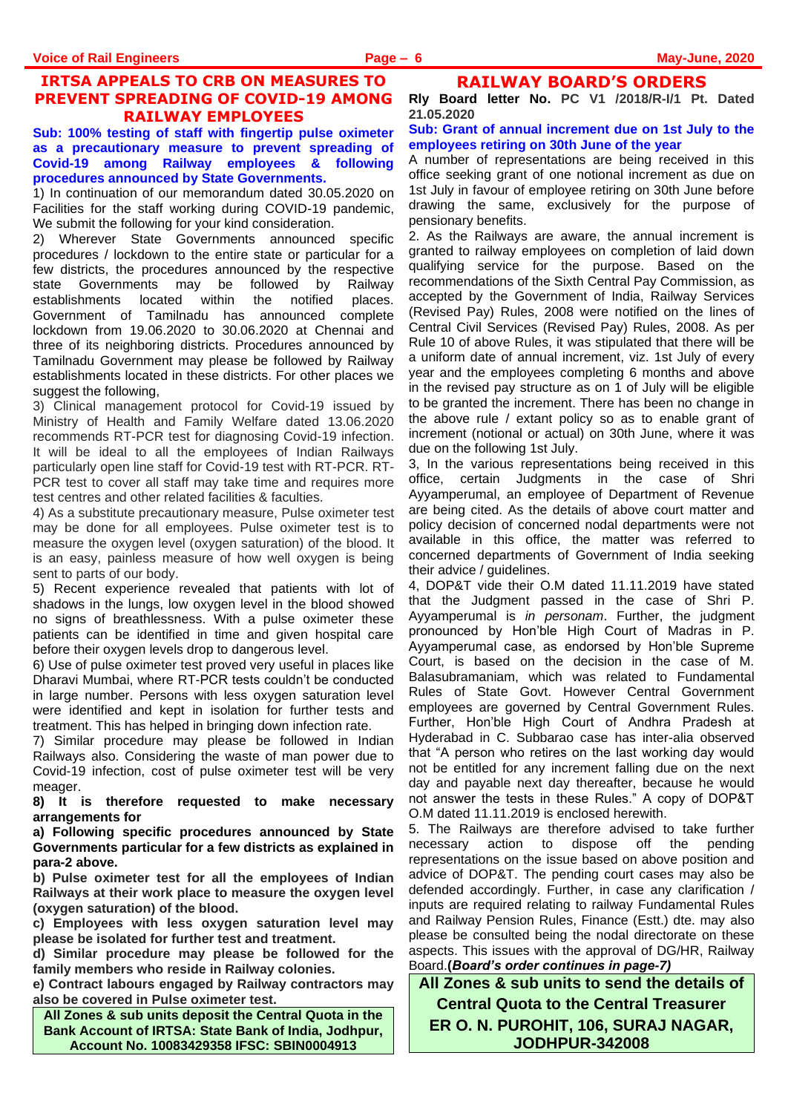# **IRTSA APPEALS TO CRB ON MEASURES TO PREVENT SPREADING OF COVID-19 AMONG RAILWAY EMPLOYEES**

**Sub: 100% testing of staff with fingertip pulse oximeter as a precautionary measure to prevent spreading of Covid-19 among Railway employees & following procedures announced by State Governments.**

1) In continuation of our memorandum dated 30.05.2020 on Facilities for the staff working during COVID-19 pandemic, We submit the following for your kind consideration.

2) Wherever State Governments announced specific procedures / lockdown to the entire state or particular for a few districts, the procedures announced by the respective state Governments may be followed by Railway establishments located within the notified places. Government of Tamilnadu has announced complete lockdown from 19.06.2020 to 30.06.2020 at Chennai and three of its neighboring districts. Procedures announced by Tamilnadu Government may please be followed by Railway establishments located in these districts. For other places we suggest the following,

3) Clinical management protocol for Covid-19 issued by Ministry of Health and Family Welfare dated 13.06.2020 recommends RT-PCR test for diagnosing Covid-19 infection. It will be ideal to all the employees of Indian Railways particularly open line staff for Covid-19 test with RT-PCR. RT-PCR test to cover all staff may take time and requires more test centres and other related facilities & faculties.

4) As a substitute precautionary measure, Pulse oximeter test may be done for all employees. Pulse oximeter test is to measure the oxygen level (oxygen saturation) of the blood. It is an easy, painless measure of how well oxygen is being sent to parts of our body.

5) Recent experience revealed that patients with lot of shadows in the lungs, low oxygen level in the blood showed no signs of breathlessness. With a pulse oximeter these patients can be identified in time and given hospital care before their oxygen levels drop to dangerous level.

6) Use of pulse oximeter test proved very useful in places like Dharavi Mumbai, where RT-PCR tests couldn't be conducted in large number. Persons with less oxygen saturation level were identified and kept in isolation for further tests and treatment. This has helped in bringing down infection rate.

7) Similar procedure may please be followed in Indian Railways also. Considering the waste of man power due to Covid-19 infection, cost of pulse oximeter test will be very meager.

**8) It is therefore requested to make necessary arrangements for**

**a) Following specific procedures announced by State Governments particular for a few districts as explained in para-2 above.** 

**b) Pulse oximeter test for all the employees of Indian Railways at their work place to measure the oxygen level (oxygen saturation) of the blood.**

**c) Employees with less oxygen saturation level may please be isolated for further test and treatment.** 

**d) Similar procedure may please be followed for the family members who reside in Railway colonies.** 

**e) Contract labours engaged by Railway contractors may also be covered in Pulse oximeter test.**

**All Zones & sub units deposit the Central Quota in the Bank Account of IRTSA: State Bank of India, Jodhpur, Account No. 10083429358 IFSC: SBIN0004913**

**RAILWAY BOARD'S ORDERS Rly Board letter No. PC V1 /2018/R-I/1 Pt. Dated 21.05.2020**

#### **Sub: Grant of annual increment due on 1st July to the employees retiring on 30th June of the year**

A number of representations are being received in this office seeking grant of one notional increment as due on 1st July in favour of employee retiring on 30th June before drawing the same, exclusively for the purpose of pensionary benefits.

2. As the Railways are aware, the annual increment is granted to railway employees on completion of laid down qualifying service for the purpose. Based on the recommendations of the Sixth Central Pay Commission, as accepted by the Government of India, Railway Services (Revised Pay) Rules, 2008 were notified on the lines of Central Civil Services (Revised Pay) Rules, 2008. As per Rule 10 of above Rules, it was stipulated that there will be a uniform date of annual increment, viz. 1st July of every year and the employees completing 6 months and above in the revised pay structure as on 1 of July will be eligible to be granted the increment. There has been no change in the above rule / extant policy so as to enable grant of increment (notional or actual) on 30th June, where it was due on the following 1st July.

3, In the various representations being received in this office, certain Judgments in the case of Shri Ayyamperumal, an employee of Department of Revenue are being cited. As the details of above court matter and policy decision of concerned nodal departments were not available in this office, the matter was referred to concerned departments of Government of India seeking their advice / guidelines.

4, DOP&T vide their O.M dated 11.11.2019 have stated that the Judgment passed in the case of Shri P. Ayyamperumal is *in personam*. Further, the judgment pronounced by Hon'ble High Court of Madras in P. Ayyamperumal case, as endorsed by Hon'ble Supreme Court, is based on the decision in the case of M. Balasubramaniam, which was related to Fundamental Rules of State Govt. However Central Government employees are governed by Central Government Rules. Further, Hon'ble High Court of Andhra Pradesh at Hyderabad in C. Subbarao case has inter-alia observed that "A person who retires on the last working day would not be entitled for any increment falling due on the next day and payable next day thereafter, because he would not answer the tests in these Rules." A copy of DOP&T O.M dated 11.11.2019 is enclosed herewith.

5. The Railways are therefore advised to take further necessary action to dispose off the pending representations on the issue based on above position and advice of DOP&T. The pending court cases may also be defended accordingly. Further, in case any clarification / inputs are required relating to railway Fundamental Rules and Railway Pension Rules, Finance (Estt.) dte. may also please be consulted being the nodal directorate on these aspects. This issues with the approval of DG/HR, Railway Board.**(***Board's order continues in page-7)*

**All Zones & sub units to send the details of Central Quota to the Central Treasurer ER O. N. PUROHIT, 106, SURAJ NAGAR, JODHPUR-342008**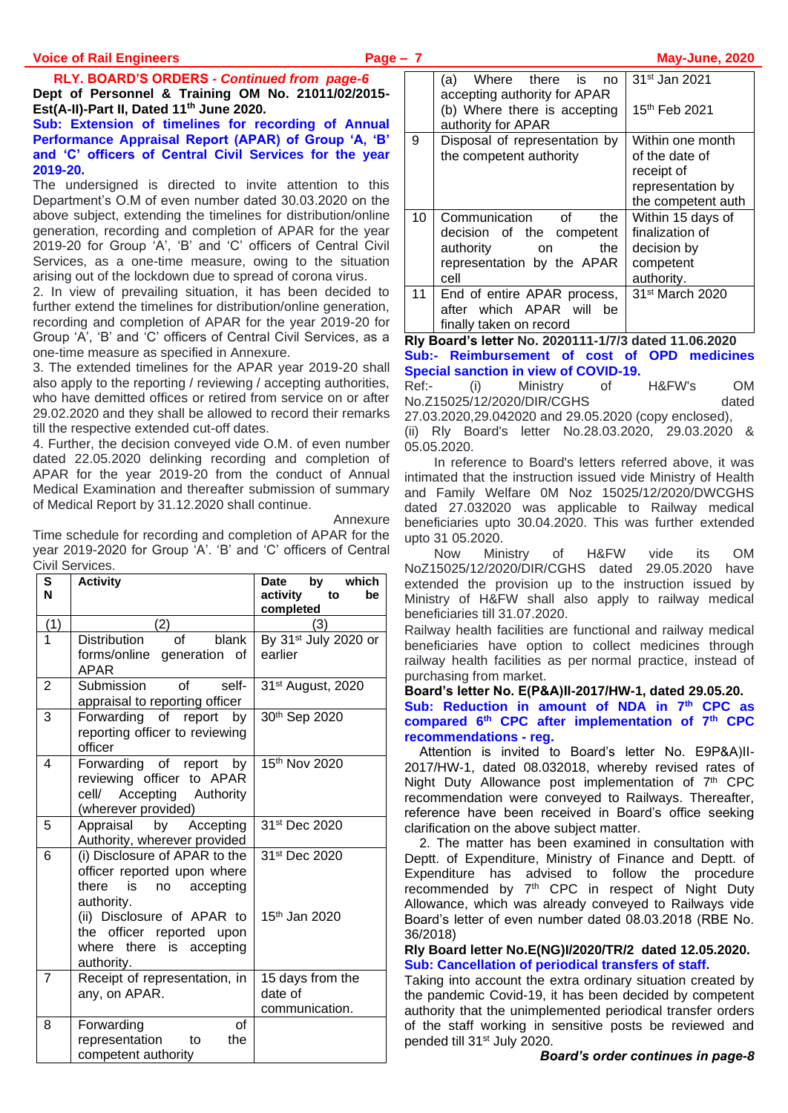**RLY. BOARD'S ORDERS** *- Continued from page-6* **Dept of Personnel & Training OM No. 21011/02/2015- Est(A-II)-Part II, Dated 11th June 2020.**

#### **Sub: Extension of timelines for recording of Annual Performance Appraisal Report (APAR) of Group 'A, 'B' and 'C' officers of Central Civil Services for the year 2019-20.**

The undersigned is directed to invite attention to this Department's O.M of even number dated 30.03.2020 on the above subject, extending the timelines for distribution/online generation, recording and completion of APAR for the year 2019-20 for Group 'A', 'B' and 'C' officers of Central Civil Services, as a one-time measure, owing to the situation arising out of the lockdown due to spread of corona virus.

2. In view of prevailing situation, it has been decided to further extend the timelines for distribution/online generation, recording and completion of APAR for the year 2019-20 for Group 'A', 'B' and 'C' officers of Central Civil Services, as a one-time measure as specified in Annexure.

3. The extended timelines for the APAR year 2019-20 shall also apply to the reporting / reviewing / accepting authorities, who have demitted offices or retired from service on or after 29.02.2020 and they shall be allowed to record their remarks till the respective extended cut-off dates.

4. Further, the decision conveyed vide O.M. of even number dated 22.05.2020 delinking recording and completion of APAR for the year 2019-20 from the conduct of Annual Medical Examination and thereafter submission of summary of Medical Report by 31.12.2020 shall continue.

Annexure

Time schedule for recording and completion of APAR for the year 2019-2020 for Group 'A'. 'B' and 'C' officers of Central Civil Services.

| S<br>N         | <b>Activity</b>                                                                                              | Date by which<br>activity<br>to<br>be         |
|----------------|--------------------------------------------------------------------------------------------------------------|-----------------------------------------------|
| (1)            | (2)                                                                                                          | completed<br>(3)                              |
| 1              | bin <sub>k</sub><br>of<br>Distribution<br>forms/online generation of<br><b>APAR</b>                          | By 31 <sup>st</sup> July 2020 or<br>earlier   |
| $\overline{2}$ | Submission<br>of<br>self-<br>appraisal to reporting officer                                                  | 31 <sup>st</sup> August, 2020                 |
| 3              | Forwarding of report by<br>reporting officer to reviewing<br>officer                                         | 30th Sep 2020                                 |
| 4              | Forwarding of report by<br>reviewing officer to APAR<br>Accepting Authority<br>cell/<br>(wherever provided)  | 15th Nov 2020                                 |
| 5              | Appraisal by Accepting<br>Authority, wherever provided                                                       | 31 <sup>st</sup> Dec 2020                     |
| 6              | (i) Disclosure of APAR to the<br>officer reported upon where<br>is<br>accepting<br>there<br>no<br>authority. | 31st Dec 2020                                 |
|                | (ii) Disclosure of APAR to<br>the officer reported upon<br>where there is accepting<br>authority.            | 15 <sup>th</sup> Jan 2020                     |
| $\overline{7}$ | Receipt of representation, in<br>any, on APAR.                                                               | 15 days from the<br>date of<br>communication. |
| 8              | of<br>Forwarding<br>representation<br>the<br>to<br>competent authority                                       |                                               |

|    | (a) Where there is no<br>accepting authority for APAR<br>(b) Where there is accepting                                   | 31 <sup>st</sup> Jan 2021<br>15 <sup>th</sup> Feb 2021                                      |
|----|-------------------------------------------------------------------------------------------------------------------------|---------------------------------------------------------------------------------------------|
|    | authority for APAR                                                                                                      |                                                                                             |
| 9  | Disposal of representation by<br>the competent authority                                                                | Within one month<br>of the date of<br>receipt of<br>representation by<br>the competent auth |
| 10 | Communication<br>of<br>the<br>decision of the competent<br>authority<br>the<br>on<br>representation by the APAR<br>cell | Within 15 days of<br>finalization of<br>decision by<br>competent<br>authority.              |
| 11 | End of entire APAR process,<br>after which APAR will<br>be<br>finally taken on record                                   | 31 <sup>st</sup> March 2020                                                                 |

**Rly Board's letter No. 2020111-1/7/3 dated 11.06.2020 Sub:- Reimbursement of cost of OPD medicines Special sanction in view of COVID-19.**

Ref:- (i) Ministry of H&FW's OM No.Z15025/12/2020/DIR/CGHS dated 27.03.2020,29.042020 and 29.05.2020 (copy enclosed), (ii) Rly Board's letter No.28.03.2020, 29.03.2020 & 05.05.2020.

In reference to Board's letters referred above, it was intimated that the instruction issued vide Ministry of Health and Family Welfare 0M Noz 15025/12/2020/DWCGHS dated 27.032020 was applicable to Railway medical beneficiaries upto 30.04.2020. This was further extended upto 31 05.2020.

Now Ministry of H&FW vide its OM NoZ15025/12/2020/DIR/CGHS dated 29.05.2020 have extended the provision up to the instruction issued by Ministry of H&FW shall also apply to railway medical beneficiaries till 31.07.2020.

Railway health facilities are functional and railway medical beneficiaries have option to collect medicines through railway health facilities as per normal practice, instead of purchasing from market.

**Board's letter No. E(P&A)II-2017/HW-1, dated 29.05.20.**

**Sub: Reduction in amount of NDA in 7th CPC as compared 6th CPC after implementation of 7th CPC recommendations - reg.**

Attention is invited to Board's letter No. E9P&A)II-2017/HW-1, dated 08.032018, whereby revised rates of Night Duty Allowance post implementation of 7<sup>th</sup> CPC recommendation were conveyed to Railways. Thereafter, reference have been received in Board's office seeking clarification on the above subject matter.

2. The matter has been examined in consultation with Deptt. of Expenditure, Ministry of Finance and Deptt. of Expenditure has advised to follow the procedure recommended by 7<sup>th</sup> CPC in respect of Night Duty Allowance, which was already conveyed to Railways vide Board's letter of even number dated 08.03.2018 (RBE No. 36/2018)

**Rly Board letter No.E(NG)I/2020/TR/2 dated 12.05.2020. Sub: Cancellation of periodical transfers of staff.** 

Taking into account the extra ordinary situation created by the pandemic Covid-19, it has been decided by competent authority that the unimplemented periodical transfer orders of the staff working in sensitive posts be reviewed and pended till 31st July 2020.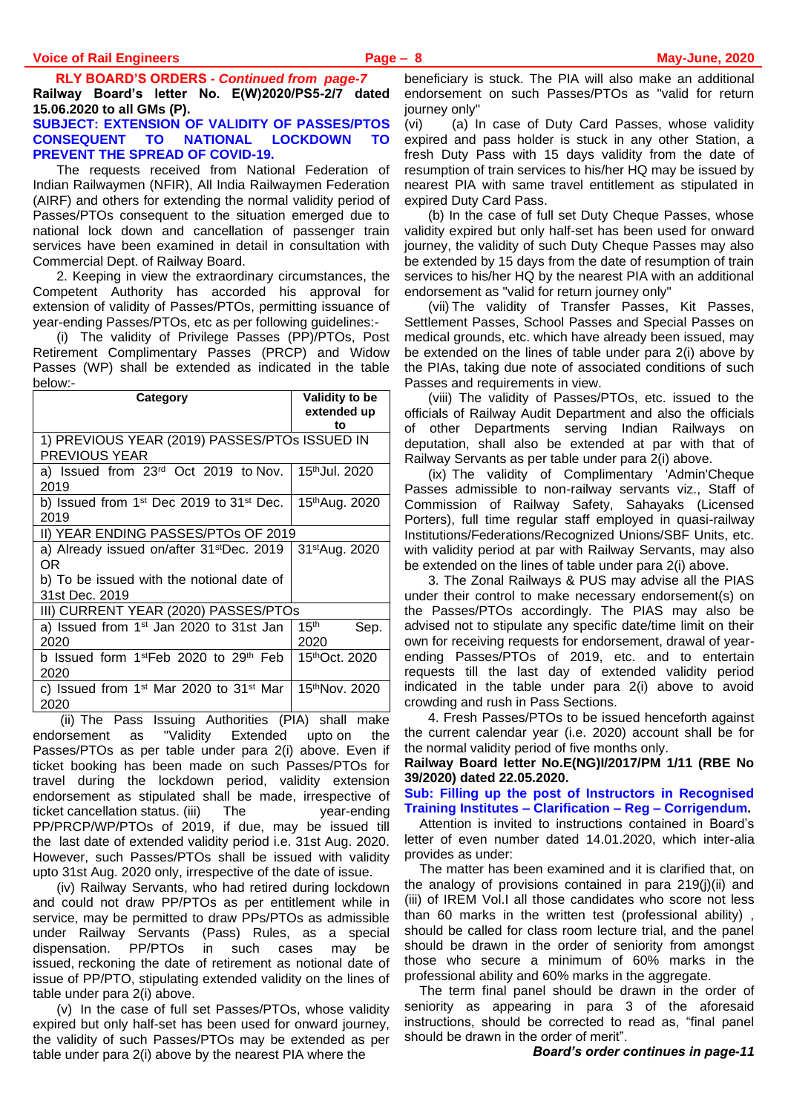**RLY BOARD'S ORDERS** *- Continued from page-7* **Railway Board's letter No. E(W)2020/PS5-2/7 dated 15.06.2020 to all GMs (P). SUBJECT: EXTENSION OF VALIDITY OF PASSES/PTOS** 

# **CONSEQUENT TO NATIONAL LOCKDOWN TO PREVENT THE SPREAD OF COVID-19.**

The requests received from National Federation of Indian Railwaymen (NFIR), All India Railwaymen Federation (AIRF) and others for extending the normal validity period of Passes/PTOs consequent to the situation emerged due to national lock down and cancellation of passenger train services have been examined in detail in consultation with Commercial Dept. of Railway Board.

2. Keeping in view the extraordinary circumstances, the Competent Authority has accorded his approval for extension of validity of Passes/PTOs, permitting issuance of year-ending Passes/PTOs, etc as per following guidelines:-

(i) The validity of Privilege Passes (PP)/PTOs, Post Retirement Complimentary Passes (PRCP) and Widow Passes (WP) shall be extended as indicated in the table below:-

| Category                                                               | <b>Validity to be</b><br>extended up<br>tο |
|------------------------------------------------------------------------|--------------------------------------------|
| 1) PREVIOUS YEAR (2019) PASSES/PTOS ISSUED IN<br><b>PREVIOUS YEAR</b>  |                                            |
| a) Issued from 23 <sup>rd</sup> Oct 2019 to Nov.<br>2019               | 15 <sup>th</sup> Jul. 2020                 |
| b) Issued from $1st$ Dec 2019 to 31 $st$ Dec.<br>2019                  | 15th Aug. 2020                             |
| II) YEAR ENDING PASSES/PTOs OF 2019                                    |                                            |
| a) Already issued on/after 31 <sup>st</sup> Dec. 2019<br>OR.           | 31 <sup>st</sup> Aug. 2020                 |
| b) To be issued with the notional date of<br>31st Dec. 2019            |                                            |
| III) CURRENT YEAR (2020) PASSES/PTOs                                   |                                            |
| a) Issued from 1 <sup>st</sup> Jan 2020 to 31st Jan<br>2020            | 15 <sup>th</sup><br>Sep.<br>2020           |
| b Issued form 1 <sup>st</sup> Feb 2020 to 29 <sup>th</sup> Feb<br>2020 | 15 <sup>th</sup> Oct. 2020                 |
| c) Issued from $1st$ Mar 2020 to 31 <sup>st</sup> Mar<br>2020          | 15thNov. 2020                              |

(ii) The Pass Issuing Authorities (PIA) shall make endorsement as "Validity Extended upto on the Passes/PTOs as per table under para 2(i) above. Even if ticket booking has been made on such Passes/PTOs for travel during the lockdown period, validity extension endorsement as stipulated shall be made, irrespective of ticket cancellation status. (iii) The year-ending PP/PRCP/WP/PTOs of 2019, if due, may be issued till the last date of extended validity period i.e. 31st Aug. 2020. However, such Passes/PTOs shall be issued with validity upto 31st Aug. 2020 only, irrespective of the date of issue.

(iv) Railway Servants, who had retired during lockdown and could not draw PP/PTOs as per entitlement while in service, may be permitted to draw PPs/PTOs as admissible under Railway Servants (Pass) Rules, as a special dispensation. PP/PTOs in such cases may be issued, reckoning the date of retirement as notional date of issue of PP/PTO, stipulating extended validity on the lines of table under para 2(i) above.

(v) In the case of full set Passes/PTOs, whose validity expired but only half-set has been used for onward journey, the validity of such Passes/PTOs may be extended as per table under para 2(i) above by the nearest PIA where the

beneficiary is stuck. The PIA will also make an additional endorsement on such Passes/PTOs as "valid for return journey only"

(vi) (a) In case of Duty Card Passes, whose validity expired and pass holder is stuck in any other Station, a fresh Duty Pass with 15 days validity from the date of resumption of train services to his/her HQ may be issued by nearest PIA with same travel entitlement as stipulated in expired Duty Card Pass.

(b) In the case of full set Duty Cheque Passes, whose validity expired but only half-set has been used for onward journey, the validity of such Duty Cheque Passes may also be extended by 15 days from the date of resumption of train services to his/her HQ by the nearest PIA with an additional endorsement as "valid for return journey only"

(vii) The validity of Transfer Passes, Kit Passes, Settlement Passes, School Passes and Special Passes on medical grounds, etc. which have already been issued, may be extended on the lines of table under para 2(i) above by the PIAs, taking due note of associated conditions of such Passes and requirements in view.

(viii) The validity of Passes/PTOs, etc. issued to the officials of Railway Audit Department and also the officials of other Departments serving Indian Railways on deputation, shall also be extended at par with that of Railway Servants as per table under para 2(i) above.

(ix) The validity of Complimentary 'Admin'Cheque Passes admissible to non-railway servants viz., Staff of Commission of Railway Safety, Sahayaks (Licensed Porters), full time regular staff employed in quasi-railway Institutions/Federations/Recognized Unions/SBF Units, etc. with validity period at par with Railway Servants, may also be extended on the lines of table under para 2(i) above.

3. The Zonal Railways & PUS may advise all the PIAS under their control to make necessary endorsement(s) on the Passes/PTOs accordingly. The PIAS may also be advised not to stipulate any specific date/time limit on their own for receiving requests for endorsement, drawal of yearending Passes/PTOs of 2019, etc. and to entertain requests till the last day of extended validity period indicated in the table under para 2(i) above to avoid crowding and rush in Pass Sections.

4. Fresh Passes/PTOs to be issued henceforth against the current calendar year (i.e. 2020) account shall be for the normal validity period of five months only.

**Railway Board letter No.E(NG)I/2017/PM 1/11 (RBE No 39/2020) dated 22.05.2020.**

**Sub: Filling up the post of Instructors in Recognised Training Institutes – Clarification – Reg – Corrigendum.** 

Attention is invited to instructions contained in Board's letter of even number dated 14.01.2020, which inter-alia provides as under:

The matter has been examined and it is clarified that, on the analogy of provisions contained in para 219(j)(ii) and (iii) of IREM Vol.I all those candidates who score not less than 60 marks in the written test (professional ability) , should be called for class room lecture trial, and the panel should be drawn in the order of seniority from amongst those who secure a minimum of 60% marks in the professional ability and 60% marks in the aggregate.

The term final panel should be drawn in the order of seniority as appearing in para 3 of the aforesaid instructions, should be corrected to read as, "final panel should be drawn in the order of merit".

*Board's order continues in page-11*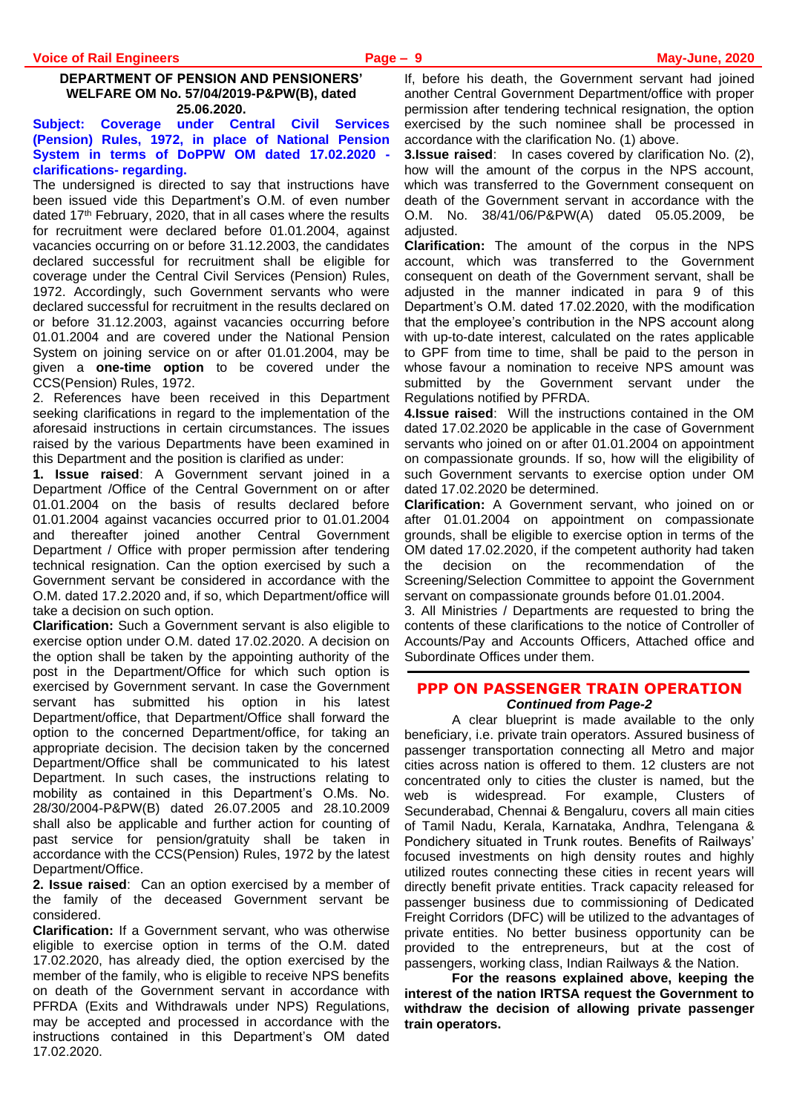#### **DEPARTMENT OF PENSION AND PENSIONERS' WELFARE OM No. 57/04/2019-P&PW(B), dated 25.06.2020.**

#### **Subject: Coverage under Central Civil Services (Pension) Rules, 1972, in place of National Pension System in terms of DoPPW OM dated 17.02.2020 clarifications- regarding.**

The undersigned is directed to say that instructions have been issued vide this Department's O.M. of even number dated 17<sup>th</sup> February, 2020, that in all cases where the results for recruitment were declared before 01.01.2004, against vacancies occurring on or before 31.12.2003, the candidates declared successful for recruitment shall be eligible for coverage under the Central Civil Services (Pension) Rules, 1972. Accordingly, such Government servants who were declared successful for recruitment in the results declared on or before 31.12.2003, against vacancies occurring before 01.01.2004 and are covered under the National Pension System on joining service on or after 01.01.2004, may be given a **one-time option** to be covered under the CCS(Pension) Rules, 1972.

2. References have been received in this Department seeking clarifications in regard to the implementation of the aforesaid instructions in certain circumstances. The issues raised by the various Departments have been examined in this Department and the position is clarified as under:

**1. Issue raised**: A Government servant joined in a Department /Office of the Central Government on or after 01.01.2004 on the basis of results declared before 01.01.2004 against vacancies occurred prior to 01.01.2004 and thereafter joined another Central Government Department / Office with proper permission after tendering technical resignation. Can the option exercised by such a Government servant be considered in accordance with the O.M. dated 17.2.2020 and, if so, which Department/office will take a decision on such option.

**Clarification:** Such a Government servant is also eligible to exercise option under O.M. dated 17.02.2020. A decision on the option shall be taken by the appointing authority of the post in the Department/Office for which such option is exercised by Government servant. In case the Government servant has submitted his option in his latest Department/office, that Department/Office shall forward the option to the concerned Department/office, for taking an appropriate decision. The decision taken by the concerned Department/Office shall be communicated to his latest Department. In such cases, the instructions relating to mobility as contained in this Department's O.Ms. No. 28/30/2004-P&PW(B) dated 26.07.2005 and 28.10.2009 shall also be applicable and further action for counting of past service for pension/gratuity shall be taken in accordance with the CCS(Pension) Rules, 1972 by the latest Department/Office.

**2. Issue raised**: Can an option exercised by a member of the family of the deceased Government servant be considered.

**Clarification:** If a Government servant, who was otherwise eligible to exercise option in terms of the O.M. dated 17.02.2020, has already died, the option exercised by the member of the family, who is eligible to receive NPS benefits on death of the Government servant in accordance with PFRDA (Exits and Withdrawals under NPS) Regulations, may be accepted and processed in accordance with the instructions contained in this Department's OM dated 17.02.2020.

If, before his death, the Government servant had joined another Central Government Department/office with proper permission after tendering technical resignation, the option exercised by the such nominee shall be processed in accordance with the clarification No. (1) above.

**3.Issue raised**: In cases covered by clarification No. (2), how will the amount of the corpus in the NPS account, which was transferred to the Government consequent on death of the Government servant in accordance with the O.M. No. 38/41/06/P&PW(A) dated 05.05.2009, be adjusted.

**Clarification:** The amount of the corpus in the NPS account, which was transferred to the Government consequent on death of the Government servant, shall be adjusted in the manner indicated in para 9 of this Department's O.M. dated 17.02.2020, with the modification that the employee's contribution in the NPS account along with up-to-date interest, calculated on the rates applicable to GPF from time to time, shall be paid to the person in whose favour a nomination to receive NPS amount was submitted by the Government servant under the Regulations notified by PFRDA.

**4.Issue raised**: Will the instructions contained in the OM dated 17.02.2020 be applicable in the case of Government servants who joined on or after 01.01.2004 on appointment on compassionate grounds. If so, how will the eligibility of such Government servants to exercise option under OM dated 17.02.2020 be determined.

**Clarification:** A Government servant, who joined on or after 01.01.2004 on appointment on compassionate grounds, shall be eligible to exercise option in terms of the OM dated 17.02.2020, if the competent authority had taken the decision on the recommendation of the Screening/Selection Committee to appoint the Government servant on compassionate grounds before 01.01.2004.

3. All Ministries / Departments are requested to bring the contents of these clarifications to the notice of Controller of Accounts/Pay and Accounts Officers, Attached office and Subordinate Offices under them.

#### **PPP ON PASSENGER TRAIN OPERATION** *Continued from Page-2*

A clear blueprint is made available to the only beneficiary, i.e. private train operators. Assured business of passenger transportation connecting all Metro and major cities across nation is offered to them. 12 clusters are not concentrated only to cities the cluster is named, but the web is widespread. For example, Clusters of Secunderabad, Chennai & Bengaluru, covers all main cities of Tamil Nadu, Kerala, Karnataka, Andhra, Telengana & Pondichery situated in Trunk routes. Benefits of Railways' focused investments on high density routes and highly utilized routes connecting these cities in recent years will directly benefit private entities. Track capacity released for passenger business due to commissioning of Dedicated Freight Corridors (DFC) will be utilized to the advantages of private entities. No better business opportunity can be provided to the entrepreneurs, but at the cost of passengers, working class, Indian Railways & the Nation.

**For the reasons explained above, keeping the interest of the nation IRTSA request the Government to withdraw the decision of allowing private passenger train operators.**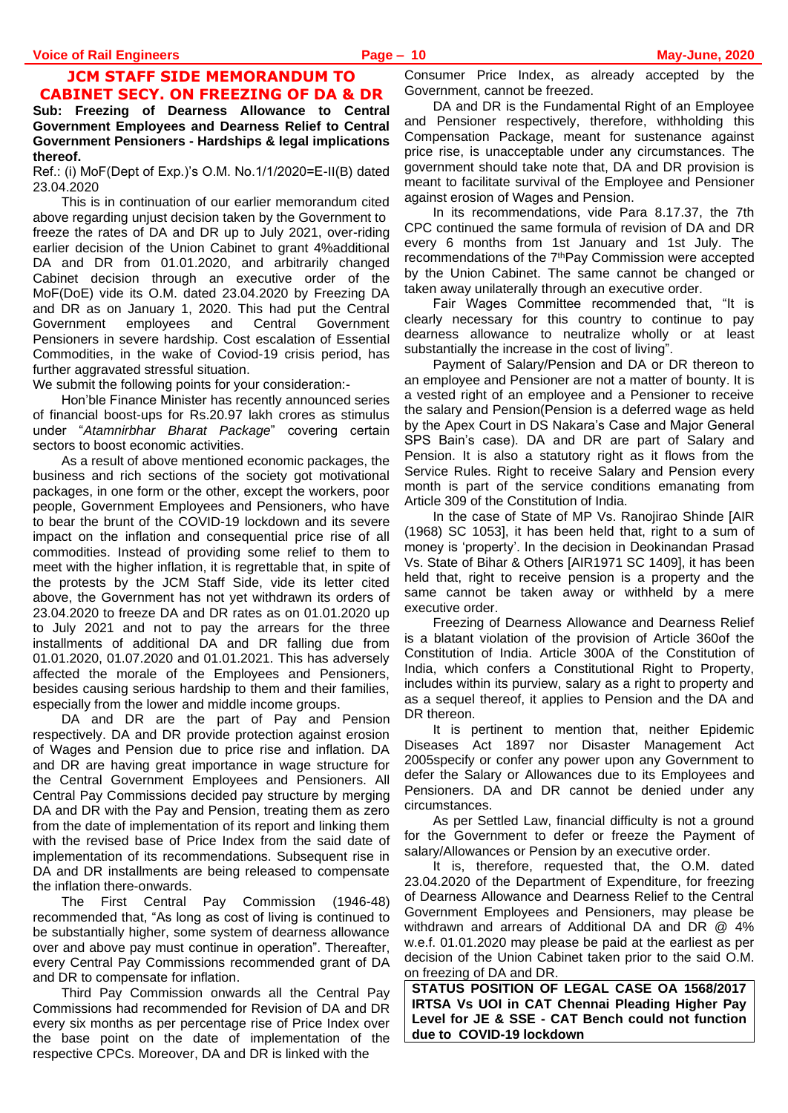### **JCM STAFF SIDE MEMORANDUM TO CABINET SECY. ON FREEZING OF DA & DR**

#### **Sub: Freezing of Dearness Allowance to Central Government Employees and Dearness Relief to Central Government Pensioners - Hardships & legal implications thereof.**

Ref.: (i) MoF(Dept of Exp.)'s O.M. No.1/1/2020=E-II(B) dated 23.04.2020

This is in continuation of our earlier memorandum cited above regarding unjust decision taken by the Government to freeze the rates of DA and DR up to July 2021, over-riding earlier decision of the Union Cabinet to grant 4%additional DA and DR from 01.01.2020, and arbitrarily changed Cabinet decision through an executive order of the MoF(DoE) vide its O.M. dated 23.04.2020 by Freezing DA and DR as on January 1, 2020. This had put the Central Government employees and Central Government Pensioners in severe hardship. Cost escalation of Essential Commodities, in the wake of Coviod-19 crisis period, has further aggravated stressful situation.

We submit the following points for your consideration:-

Hon'ble Finance Minister has recently announced series of financial boost-ups for Rs.20.97 lakh crores as stimulus under "*Atamnirbhar Bharat Package*" covering certain sectors to boost economic activities.

As a result of above mentioned economic packages, the business and rich sections of the society got motivational packages, in one form or the other, except the workers, poor people, Government Employees and Pensioners, who have to bear the brunt of the COVID-19 lockdown and its severe impact on the inflation and consequential price rise of all commodities. Instead of providing some relief to them to meet with the higher inflation, it is regrettable that, in spite of the protests by the JCM Staff Side, vide its letter cited above, the Government has not yet withdrawn its orders of 23.04.2020 to freeze DA and DR rates as on 01.01.2020 up to July 2021 and not to pay the arrears for the three installments of additional DA and DR falling due from 01.01.2020, 01.07.2020 and 01.01.2021. This has adversely affected the morale of the Employees and Pensioners, besides causing serious hardship to them and their families, especially from the lower and middle income groups.

DA and DR are the part of Pay and Pension respectively. DA and DR provide protection against erosion of Wages and Pension due to price rise and inflation. DA and DR are having great importance in wage structure for the Central Government Employees and Pensioners. All Central Pay Commissions decided pay structure by merging DA and DR with the Pay and Pension, treating them as zero from the date of implementation of its report and linking them with the revised base of Price Index from the said date of implementation of its recommendations. Subsequent rise in DA and DR installments are being released to compensate the inflation there-onwards.

The First Central Pay Commission (1946-48) recommended that, "As long as cost of living is continued to be substantially higher, some system of dearness allowance over and above pay must continue in operation". Thereafter, every Central Pay Commissions recommended grant of DA and DR to compensate for inflation.

Third Pay Commission onwards all the Central Pay Commissions had recommended for Revision of DA and DR every six months as per percentage rise of Price Index over the base point on the date of implementation of the respective CPCs. Moreover, DA and DR is linked with the

Consumer Price Index, as already accepted by the Government, cannot be freezed.

DA and DR is the Fundamental Right of an Employee and Pensioner respectively, therefore, withholding this Compensation Package, meant for sustenance against price rise, is unacceptable under any circumstances. The government should take note that, DA and DR provision is meant to facilitate survival of the Employee and Pensioner against erosion of Wages and Pension.

In its recommendations, vide Para 8.17.37, the 7th CPC continued the same formula of revision of DA and DR every 6 months from 1st January and 1st July. The recommendations of the 7thPay Commission were accepted by the Union Cabinet. The same cannot be changed or taken away unilaterally through an executive order.

Fair Wages Committee recommended that, "It is clearly necessary for this country to continue to pay dearness allowance to neutralize wholly or at least substantially the increase in the cost of living".

Payment of Salary/Pension and DA or DR thereon to an employee and Pensioner are not a matter of bounty. It is a vested right of an employee and a Pensioner to receive the salary and Pension(Pension is a deferred wage as held by the Apex Court in DS Nakara's Case and Major General SPS Bain's case). DA and DR are part of Salary and Pension. It is also a statutory right as it flows from the Service Rules. Right to receive Salary and Pension every month is part of the service conditions emanating from Article 309 of the Constitution of India.

In the case of State of MP Vs. Ranojirao Shinde [AIR (1968) SC 1053], it has been held that, right to a sum of money is 'property'. In the decision in Deokinandan Prasad Vs. State of Bihar & Others [AIR1971 SC 1409], it has been held that, right to receive pension is a property and the same cannot be taken away or withheld by a mere executive order.

Freezing of Dearness Allowance and Dearness Relief is a blatant violation of the provision of Article 360of the Constitution of India. Article 300A of the Constitution of India, which confers a Constitutional Right to Property, includes within its purview, salary as a right to property and as a sequel thereof, it applies to Pension and the DA and DR thereon.

It is pertinent to mention that, neither Epidemic Diseases Act 1897 nor Disaster Management Act 2005specify or confer any power upon any Government to defer the Salary or Allowances due to its Employees and Pensioners. DA and DR cannot be denied under any circumstances.

As per Settled Law, financial difficulty is not a ground for the Government to defer or freeze the Payment of salary/Allowances or Pension by an executive order.

It is, therefore, requested that, the O.M. dated 23.04.2020 of the Department of Expenditure, for freezing of Dearness Allowance and Dearness Relief to the Central Government Employees and Pensioners, may please be withdrawn and arrears of Additional DA and DR @ 4% w.e.f. 01.01.2020 may please be paid at the earliest as per decision of the Union Cabinet taken prior to the said O.M. on freezing of DA and DR.

**STATUS POSITION OF LEGAL CASE OA 1568/2017 IRTSA Vs UOI in CAT Chennai Pleading Higher Pay Level for JE & SSE - CAT Bench could not function due to COVID-19 lockdown**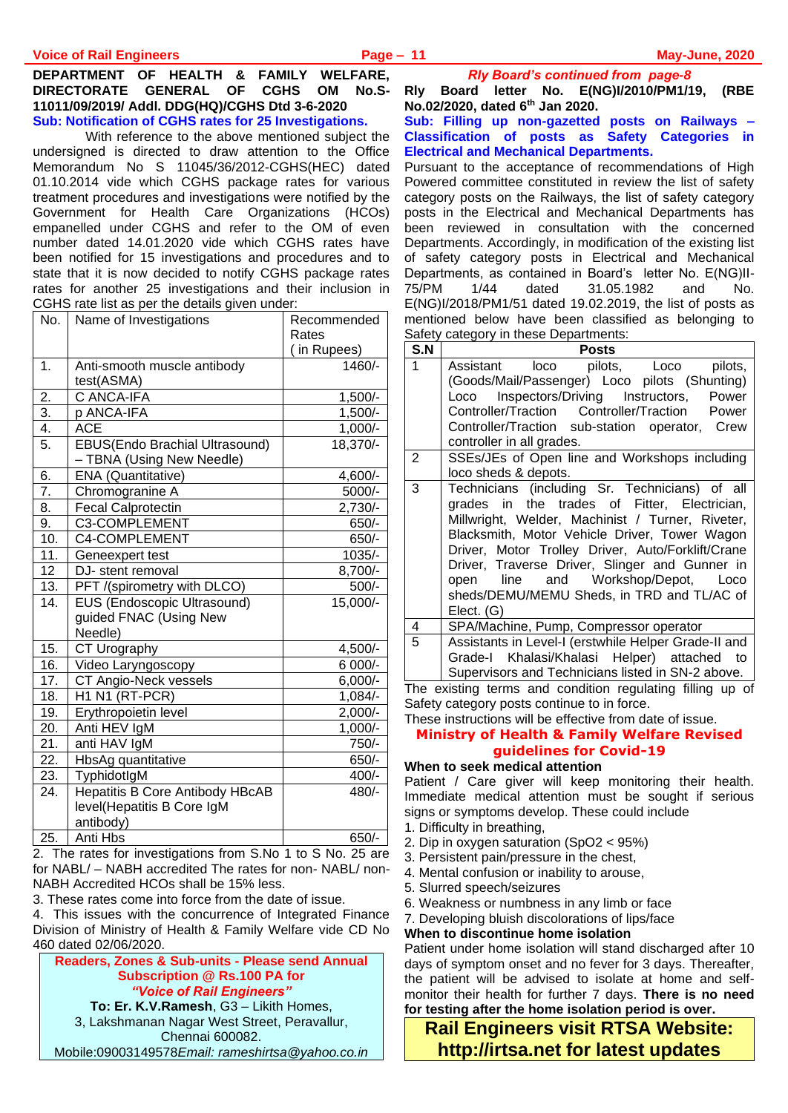#### **DEPARTMENT OF HEALTH & FAMILY WELFARE, DIRECTORATE GENERAL OF CGHS OM No.S-11011/09/2019/ Addl. DDG(HQ)/CGHS Dtd 3-6-2020 Sub: Notification of CGHS rates for 25 Investigations.**

 With reference to the above mentioned subject the undersigned is directed to draw attention to the Office Memorandum No S 11045/36/2012-CGHS(HEC) dated 01.10.2014 vide which CGHS package rates for various treatment procedures and investigations were notified by the Government for Health Care Organizations (HCOs) empanelled under CGHS and refer to the OM of even number dated 14.01.2020 vide which CGHS rates have been notified for 15 investigations and procedures and to state that it is now decided to notify CGHS package rates rates for another 25 investigations and their inclusion in CGHS rate list as per the details given under:

| No.              | Name of Investigations                 | Recommended |
|------------------|----------------------------------------|-------------|
|                  |                                        | Rates       |
|                  |                                        | (in Rupees) |
| 1.               | Anti-smooth muscle antibody            | 1460/-      |
|                  | test(ASMA)                             |             |
| 2.               | C ANCA-IFA                             | $1,500/-$   |
| $\overline{3}$ . | p ANCA-IFA                             | $1,500/-$   |
| 4.               | ACE                                    | $1,000/-$   |
| $\overline{5}$ . | EBUS(Endo Brachial Ultrasound)         | 18,370/-    |
|                  | - TBNA (Using New Needle)              |             |
| 6.               | ENA (Quantitative)                     | 4,600/-     |
| 7.               | Chromogranine A                        | 5000/-      |
| 8.               | <b>Fecal Calprotectin</b>              | $2,730/-$   |
| 9.               | C3-COMPLEMENT                          | 650/-       |
| 10.              | C4-COMPLEMENT                          | 650/-       |
| 11.              | Geneexpert test                        | 1035/-      |
| 12               | DJ- stent removal                      | $8,700/-$   |
| 13.              | PFT /(spirometry with DLCO)            | 500/-       |
| 14.              | EUS (Endoscopic Ultrasound)            | 15,000/-    |
|                  | guided FNAC (Using New                 |             |
|                  | Needle)                                |             |
| 15.              | <b>CT Urography</b>                    | 4,500/-     |
| 16.              | Video Laryngoscopy                     | 6 000/-     |
| 17.              | CT Angio-Neck vessels                  | $6,000/-$   |
| 18.              | H1 N1 (RT-PCR)                         | 1,084/-     |
| 19.              | Erythropoietin level                   | $2,000/-$   |
| 20.              | Anti HEV IgM                           | $1,000/-$   |
| 21.              | anti HAV IgM                           | 750/-       |
| 22.              | <b>HbsAg</b> quantitative              | 650/-       |
| $\overline{2}3.$ | TyphidotIgM                            | 400/-       |
| 24.              | <b>Hepatitis B Core Antibody HBcAB</b> | 480/-       |
|                  | level(Hepatitis B Core IgM             |             |
|                  | antibody)                              |             |
| 25.              | Anti Hbs                               | 650/-       |

2. The rates for investigations from S.No 1 to S No. 25 are for NABL/ – NABH accredited The rates for non- NABL/ non-NABH Accredited HCOs shall be 15% less.

3. These rates come into force from the date of issue.

4. This issues with the concurrence of Integrated Finance Division of Ministry of Health & Family Welfare vide CD No 460 dated 02/06/2020.

**Readers, Zones & Sub-units - Please send Annual Subscription @ Rs.100 PA for**  *"Voice of Rail Engineers"* **To: Er. K.V.Ramesh**, G3 – Likith Homes, 3, Lakshmanan Nagar West Street, Peravallur, Chennai 600082. Mobile:09003149578*Email: [rameshirtsa@yahoo.co.in](mailto:rameshirtsa@yahoo.co.in)* *Rly Board's continued from page-8*

**Rly Board letter No. E(NG)I/2010/PM1/19, (RBE No.02/2020, dated 6th Jan 2020.** 

#### **Sub: Filling up non-gazetted posts on Railways – Classification of posts as Safety Categories in Electrical and Mechanical Departments.**

Pursuant to the acceptance of recommendations of High Powered committee constituted in review the list of safety category posts on the Railways, the list of safety category posts in the Electrical and Mechanical Departments has been reviewed in consultation with the concerned Departments. Accordingly, in modification of the existing list of safety category posts in Electrical and Mechanical Departments, as contained in Board's letter No. E(NG)II-75/PM 1/44 dated 31.05.1982 and No. E(NG)I/2018/PM1/51 dated 19.02.2019, the list of posts as mentioned below have been classified as belonging to Safety category in these Departments:

| S.N | <b>Posts</b>                                                                                                                                                                                                                                                                                                                                                                                                    |
|-----|-----------------------------------------------------------------------------------------------------------------------------------------------------------------------------------------------------------------------------------------------------------------------------------------------------------------------------------------------------------------------------------------------------------------|
|     | Assistant loco pilots, Loco pilots,<br>(Goods/Mail/Passenger) Loco pilots (Shunting)<br>Loco Inspectors/Driving Instructors, Power<br>Controller/Traction Controller/Traction Power<br>Controller/Traction sub-station operator, Crew<br>controller in all grades.                                                                                                                                              |
| 2   | SSEs/JEs of Open line and Workshops including<br>loco sheds & depots.                                                                                                                                                                                                                                                                                                                                           |
| 3   | Technicians (including Sr. Technicians) of all<br>grades in the trades of Fitter, Electrician,<br>Millwright, Welder, Machinist / Turner, Riveter,<br>Blacksmith, Motor Vehicle Driver, Tower Wagon<br>Driver, Motor Trolley Driver, Auto/Forklift/Crane<br>Driver, Traverse Driver, Slinger and Gunner in<br>line and Workshop/Depot, Loco<br>open<br>sheds/DEMU/MEMU Sheds, in TRD and TL/AC of<br>Elect. (G) |
| 4   | SPA/Machine, Pump, Compressor operator                                                                                                                                                                                                                                                                                                                                                                          |
| 5   | Assistants in Level-I (erstwhile Helper Grade-II and<br>Grade-I Khalasi/Khalasi Helper) attached to<br>Supervisors and Technicians listed in SN-2 above.                                                                                                                                                                                                                                                        |

The existing terms and condition regulating filling up of Safety category posts continue to in force.

These instructions will be effective from date of issue.

#### **Ministry of Health & Family Welfare Revised guidelines for Covid-19**

#### **When to seek medical attention**

Patient / Care giver will keep monitoring their health. Immediate medical attention must be sought if serious signs or symptoms develop. These could include

- 1. Difficulty in breathing,
- 2. Dip in oxygen saturation (SpO2 < 95%)
- 3. Persistent pain/pressure in the chest,
- 4. Mental confusion or inability to arouse,
- 5. Slurred speech/seizures
- 6. Weakness or numbness in any limb or face
- 7. Developing bluish discolorations of lips/face

#### **When to discontinue home isolation**

Patient under home isolation will stand discharged after 10 days of symptom onset and no fever for 3 days. Thereafter, the patient will be advised to isolate at home and selfmonitor their health for further 7 days. **There is no need for testing after the home isolation period is over.**

**Rail Engineers visit RTSA Website: http://irtsa.net for latest updates**